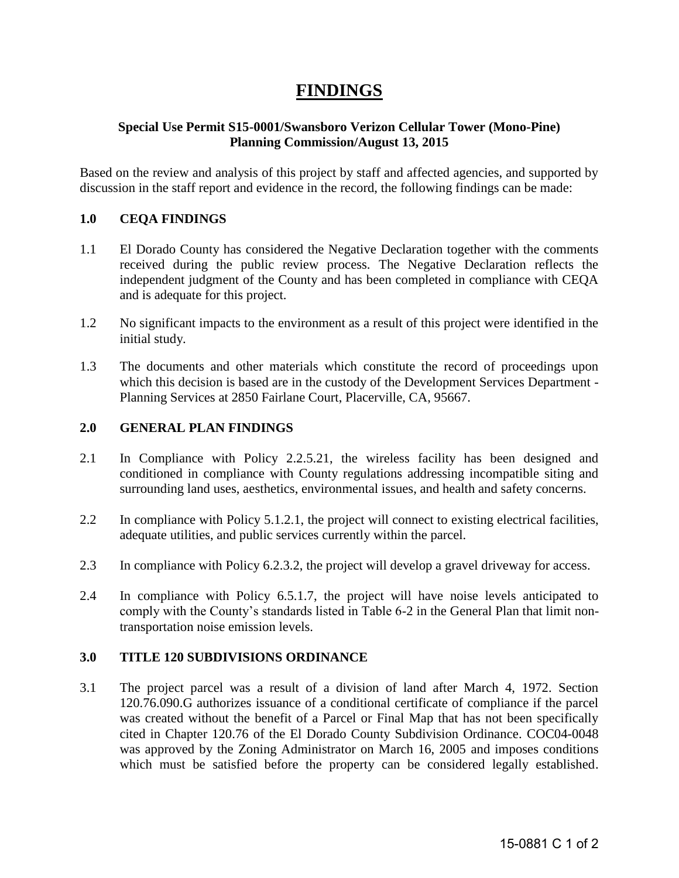# **FINDINGS**

## **Special Use Permit S15-0001/Swansboro Verizon Cellular Tower (Mono-Pine) Planning Commission/August 13, 2015**

Based on the review and analysis of this project by staff and affected agencies, and supported by discussion in the staff report and evidence in the record, the following findings can be made:

## **1.0 CEQA FINDINGS**

- 1.1 El Dorado County has considered the Negative Declaration together with the comments received during the public review process. The Negative Declaration reflects the independent judgment of the County and has been completed in compliance with CEQA and is adequate for this project.
- 1.2 No significant impacts to the environment as a result of this project were identified in the initial study.
- 1.3 The documents and other materials which constitute the record of proceedings upon which this decision is based are in the custody of the Development Services Department -Planning Services at 2850 Fairlane Court, Placerville, CA, 95667.

## **2.0 GENERAL PLAN FINDINGS**

- 2.1 In Compliance with Policy 2.2.5.21, the wireless facility has been designed and conditioned in compliance with County regulations addressing incompatible siting and surrounding land uses, aesthetics, environmental issues, and health and safety concerns.
- 2.2 In compliance with Policy 5.1.2.1, the project will connect to existing electrical facilities, adequate utilities, and public services currently within the parcel.
- 2.3 In compliance with Policy 6.2.3.2, the project will develop a gravel driveway for access.
- 2.4 In compliance with Policy 6.5.1.7, the project will have noise levels anticipated to comply with the County's standards listed in Table 6-2 in the General Plan that limit nontransportation noise emission levels.

#### **3.0 TITLE 120 SUBDIVISIONS ORDINANCE**

3.1 The project parcel was a result of a division of land after March 4, 1972. Section 120.76.090.G authorizes issuance of a conditional certificate of compliance if the parcel was created without the benefit of a Parcel or Final Map that has not been specifically cited in Chapter 120.76 of the El Dorado County Subdivision Ordinance. COC04-0048 was approved by the Zoning Administrator on March 16, 2005 and imposes conditions which must be satisfied before the property can be considered legally established.